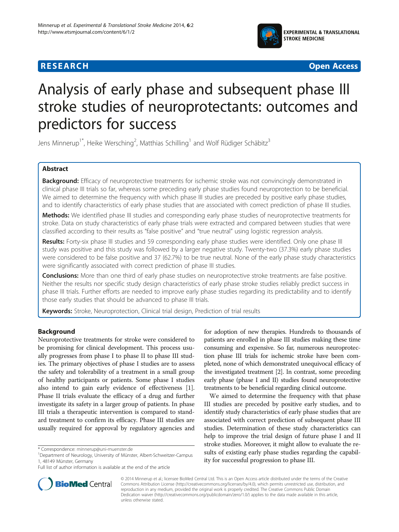

**RESEARCH CHEAR CHEAR CHEAR CHEAR CHEAR CHEAR CHEAR CHEAR CHEAR CHEAR CHEAR CHEAR CHEAR CHEAR CHEAR CHEAR CHEAR** 

# Analysis of early phase and subsequent phase III stroke studies of neuroprotectants: outcomes and predictors for success

Jens Minnerup<sup>1\*</sup>, Heike Wersching<sup>2</sup>, Matthias Schilling<sup>1</sup> and Wolf Rüdiger Schäbitz<sup>3</sup>

# Abstract

Background: Efficacy of neuroprotective treatments for ischemic stroke was not convincingly demonstrated in clinical phase III trials so far, whereas some preceding early phase studies found neuroprotection to be beneficial. We aimed to determine the frequency with which phase III studies are preceded by positive early phase studies, and to identify characteristics of early phase studies that are associated with correct prediction of phase III studies.

Methods: We identified phase III studies and corresponding early phase studies of neuroprotective treatments for stroke. Data on study characteristics of early phase trials were extracted and compared between studies that were classified according to their results as "false positive" and "true neutral" using logistic regression analysis.

Results: Forty-six phase III studies and 59 corresponding early phase studies were identified. Only one phase III study was positive and this study was followed by a larger negative study. Twenty-two (37.3%) early phase studies were considered to be false positive and 37 (62.7%) to be true neutral. None of the early phase study characteristics were significantly associated with correct prediction of phase III studies.

Conclusions: More than one third of early phase studies on neuroprotective stroke treatments are false positive. Neither the results nor specific study design characteristics of early phase stroke studies reliably predict success in phase III trials. Further efforts are needed to improve early phase studies regarding its predictability and to identify those early studies that should be advanced to phase III trials.

Keywords: Stroke, Neuroprotection, Clinical trial design, Prediction of trial results

# Background

Neuroprotective treatments for stroke were considered to be promising for clinical development. This process usually progresses from phase I to phase II to phase III studies. The primary objectives of phase I studies are to assess the safety and tolerability of a treatment in a small group of healthy participants or patients. Some phase I studies also intend to gain early evidence of effectiveness [[1](#page-4-0)]. Phase II trials evaluate the efficacy of a drug and further investigate its safety in a larger group of patients. In phase III trials a therapeutic intervention is compared to standard treatment to confirm its efficacy. Phase III studies are usually required for approval by regulatory agencies and

for adoption of new therapies. Hundreds to thousands of patients are enrolled in phase III studies making these time consuming and expensive. So far, numerous neuroprotection phase III trials for ischemic stroke have been completed, none of which demonstrated unequivocal efficacy of the investigated treatment [\[2](#page-4-0)]. In contrast, some preceding early phase (phase I and II) studies found neuroprotective treatments to be beneficial regarding clinical outcome.

We aimed to determine the frequency with that phase III studies are preceded by positive early studies, and to identify study characteristics of early phase studies that are associated with correct prediction of subsequent phase III studies. Determination of these study characteristics can help to improve the trial design of future phase I and II stroke studies. Moreover, it might allow to evaluate the results of existing early phase studies regarding the capability for successful progression to phase III.



© 2014 Minnerup et al.; licensee BioMed Central Ltd. This is an Open Access article distributed under the terms of the Creative Commons Attribution License [\(http://creativecommons.org/licenses/by/4.0\)](http://creativecommons.org/licenses/by/4.0), which permits unrestricted use, distribution, and reproduction in any medium, provided the original work is properly credited. The Creative Commons Public Domain Dedication waiver [\(http://creativecommons.org/publicdomain/zero/1.0/](http://creativecommons.org/publicdomain/zero/1.0/)) applies to the data made available in this article, unless otherwise stated.

<sup>\*</sup> Correspondence: [minnerup@uni-muenster.de](mailto:minnerup@uni-muenster.de) <sup>1</sup>

Department of Neurology, University of Münster, Albert-Schweitzer-Campus 1, 48149 Münster, Germany

Full list of author information is available at the end of the article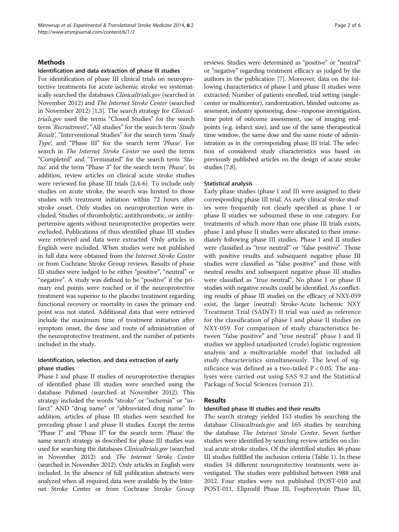# **Methods**

### Identification and data extraction of phase III studies

For identification of phase III clinical trials on neuroprotective treatments for acute ischemic stroke we systematically searched the databases Clinicaltrials.gov (searched in November 2012) and The Internet Stroke Center (searched in November 2012) [[1,3](#page-4-0)]. The search strategy for Clinicaltrials.gov used the terms "Closed Studies" for the search term 'Recruitment', "All studies" for the search term 'Study Result', "Interventional Studies" for the search term 'Study Type', and "Phase III" for the search term 'Phase'. For search in The Internet Stroke Center we used the terms "Completed" and "Terminated" for the search term 'Status' and the term "Phase 3" for the search term 'Phase'. In addition, review articles on clinical acute stroke studies were reviewed for phase III trials [\[2,4](#page-4-0)-[6](#page-4-0)]. To include only studies on acute stroke, the search was limited to those studies with treatment initiation within 72 hours after stroke onset. Only studies on neuroprotection were included. Studies of thrombolytic, antithrombotic, or antihypertensive agents without neuroprotective properties were excluded. Publications of thus identified phase III studies were retrieved and data were extracted. Only articles in English were included. When studies were not published in full data were obtained from the Internet Stroke Center or from Cochrane Stroke Group reviews. Results of phase III studies were judged to be either "positive", "neutral" or "negative". A study was defined to be "positive" if the primary end points were reached or if the neuroprotective treatment was superior to the placebo treatment regarding functional recovery or mortality in cases the primary end point was not stated. Additional data that were retrieved include the maximum time of treatment initiation after symptom onset, the dose and route of administration of the neuroprotective treatment, and the number of patients included in the study.

# Identification, selection, and data extraction of early phase studies

Phase I and phase II studies of neuroprotective therapies of identified phase III studies were searched using the database Pubmed (searched at November 2012). This strategy included the words "stroke" or "ischemia" or "infarct" AND "drug name" or "abbreviated drug name". In addition, articles of phase III studies were searched for preceding phase I and phase II studies. Except the terms "Phase I" and "Phase II" for the search term 'Phase' the same search strategy as described for phase III studies was used for searching the databases Clinicaltrials.gov (searched in November 2012) and The Internet Stroke Center (searched in November 2012). Only articles in English were included. In the absence of full publication abstracts were analyzed when all required data were available by the Internet Stroke Center or from Cochrane Stroke Group reviews. Studies were determined as "positive" or "neutral" or "negative" regarding treatment efficacy as judged by the authors in the publication [\[7\]](#page-4-0). Moreover, data on the following characteristics of phase I and phase II studies were extracted: Number of patients enrolled, trial setting (singlecenter or multicenter), randomization, blinded outcome assessment, industry sponsoring, dose–response investigation, time point of outcome assessment, use of imaging endpoints (e.g. infarct size), and use of the same therapeutical time window, the same dose and the same route of administration as in the corresponding phase III trial. The selection of considered study characteristics was based on previously published articles on the design of acute stroke studies [\[7](#page-4-0)[,8\]](#page-5-0).

#### Statistical analysis

Early phase studies (phase I and II) were assigned to their corresponding phase III trial. As early clinical stroke studies were frequently not clearly specified as phase I or phase II studies we subsumed these in one category. For treatments of which more than one phase III trials exists, phase I and phase II studies were allocated to their immediately following phase III studies. Phase I and II studies were classified as "true neutral" or "false positive". Those with positive results and subsequent negative phase III studies were classified as "false positive" and those with neutral results and subsequent negative phase III studies were classified as "true neutral". No phase I or phase II studies with negative results could be identified. As conflicting results of phase III studies on the efficacy of NXY-059 exist, the larger (neutral) Stroke-Acute Ischemic NXY Treatment Trial (SAINT) II trial was used as reference for the classification of phase I and phase II studies on NXY-059. For comparison of study characteristics between "false positive" and "true neutral" phase I and II studies we applied unadjusted (crude) logistic regression analysis and a multivariable model that included all study characteristics simultaneously. The level of significance was defined as a two-tailed  $P < 0.05$ . The analyses were carried out using SAS 9.2 and the Statistical Package of Social Sciences (version 21).

# Results

#### Identified phase III studies and their results

The search strategy yielded 153 studies by searching the database Clinicaltrials.gov and 165 studies by searching the database The Internet Stroke Center. Seven further studies were identified by searching review articles on clinical acute stroke studies. Of the identified studies 46 phase III studies fulfilled the inclusion criteria (Table [1\)](#page-2-0). In these studies 34 different neuroprotective treatments were investigated. The studies were published between 1988 and 2012. Four studies were not published (POST-010 and POST-011, Eliprodil Phase III, Fosphenytoin Phase III,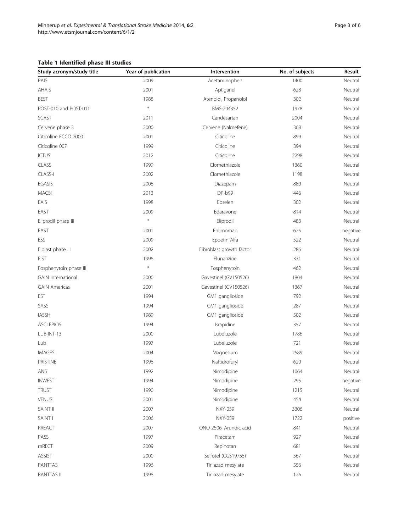# <span id="page-2-0"></span>Table 1 Identified phase III studies

| Study acronym/study title | Year of publication | Intervention             | No. of subjects | Result   |
|---------------------------|---------------------|--------------------------|-----------------|----------|
| PAIS                      | 2009                | Acetaminophen            | 1400            | Neutral  |
| AHAIS                     | 2001                | Aptiganel                | 628             | Neutral  |
| <b>BEST</b>               | 1988                | Atenolol, Propanolol     | 302             | Neutral  |
| POST-010 and POST-011     | $\ast$              | BMS-204352               | 1978            | Neutral  |
| <b>SCAST</b>              | 2011                | Candesartan              | 2004            | Neutral  |
| Cervene phase 3           | 2000                | Cervene (Nalmefene)      | 368             | Neutral  |
| Citicoline ECCO 2000      | 2001                | Citicoline               | 899             | Neutral  |
| Citicoline 007            | 1999                | Citicoline               | 394             | Neutral  |
| <b>ICTUS</b>              | 2012                | Citicoline               | 2298            | Neutral  |
| CLASS                     | 1999                | Clomethiazole            | 1360            | Neutral  |
| CLASS-I                   | 2002                | Clomethiazole            | 1198            | Neutral  |
| EGASIS                    | 2006                | Diazepam                 | 880             | Neutral  |
| <b>MACSI</b>              | 2013                | DP-b99                   | 446             | Neutral  |
| EAIS                      | 1998                | Ebselen                  | 302             | Neutral  |
| EAST                      | 2009                | Edaravone                | 814             | Neutral  |
| Eliprodil phase III       | $\star$             | Eliprodil                | 483             | Neutral  |
| EAST                      | 2001                | Enlimomab                | 625             | negative |
| ESS                       | 2009                | Epoetin Alfa             | 522             | Neutral  |
| Fiblast phase III         | 2002                | Fibroblast growth factor | 286             | Neutral  |
| <b>FIST</b>               | 1996                | Flunarizine              | 331             | Neutral  |
| Fosphenytoin phase III    | $\ast$              | Fosphenytoin             | 462             | Neutral  |
| <b>GAIN</b> International | 2000                | Gavestinel (GV150526)    | 1804            | Neutral  |
| <b>GAIN Americas</b>      | 2001                | Gavestinel (GV150526)    | 1367            | Neutral  |
| EST                       | 1994                | GM1 ganglioside          | 792             | Neutral  |
| SASS                      | 1994                | GM1 ganglioside          | 287             | Neutral  |
| <b>IASSH</b>              | 1989                | GM1 ganglioside          | 502             | Neutral  |
| <b>ASCLEPIOS</b>          | 1994                | Israpidine               | 357             | Neutral  |
| LUB-INT-13                | 2000                | Lubeluzole               | 1786            | Neutral  |
| Lub                       | 1997                | Lubeluzole               | 721             | Neutral  |
| <b>IMAGES</b>             | 2004                | Magnesium                | 2589            | Neutral  |
| PRISTINE                  | 1996                | Naftidrofuryl            | 620             | Neutral  |
| ANS                       | 1992                | Nimodipine               | 1064            | Neutral  |
| <b>INWEST</b>             | 1994                | Nimodipine               | 295             | negative |
| <b>TRUST</b>              | 1990                | Nimodipine               | 1215            | Neutral  |
| VENUS                     | 2001                | Nimodipine               | 454             | Neutral  |
| SAINT II                  | 2007                | <b>NXY-059</b>           | 3306            | Neutral  |
| SAINT I                   | 2006                | <b>NXY-059</b>           | 1722            | positive |
| <b>RREACT</b>             | 2007                | ONO-2506, Arundic acid   | 841             | Neutral  |
| PASS                      | 1997                | Piracetam                | 927             | Neutral  |
| mRECT                     | 2009                | Repinotan                | 681             | Neutral  |
| ASSIST                    | 2000                | Selfotel (CGS19755)      | 567             | Neutral  |
| RANTTAS                   | 1996                | Tirilazad mesylate       | 556             | Neutral  |
| RANTTAS II                | 1998                | Tirilazad mesylate       | 126             | Neutral  |
|                           |                     |                          |                 |          |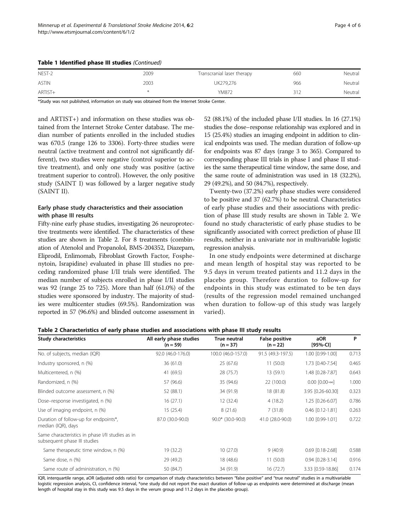|  |  |  |  | Table 1 Identified phase III studies (Continued) |
|--|--|--|--|--------------------------------------------------|
|--|--|--|--|--------------------------------------------------|

| NEST-2       | 2009 | Transcranial laser therapy | 660 | Neutral |
|--------------|------|----------------------------|-----|---------|
| <b>ASTIN</b> | 2003 | UK279,276                  | 966 | Neutral |
| ARTIST+      |      | YM872                      |     | Neutral |

\*Study was not published, information on study was obtained from the Internet Stroke Center.

and ARTIST+) and information on these studies was obtained from the Internet Stroke Center database. The median number of patients enrolled in the included studies was 670.5 (range 126 to 3306). Forty-three studies were neutral (active treatment and control not significantly different), two studies were negative (control superior to active treatment), and only one study was positive (active treatment superior to control). However, the only positive study (SAINT I) was followed by a larger negative study (SAINT II).

# Early phase study characteristics and their association with phase III results

Fifty-nine early phase studies, investigating 26 neuroprotective treatments were identified. The characteristics of these studies are shown in Table 2. For 8 treatments (combination of Atenolol and Propanolol, BMS-204352, Diazepam, Eliprodil, Enlimomab, Fibroblast Growth Factor, Fosphenytoin, Israpidine) evaluated in phase III studies no preceding randomized phase I/II trials were identified. The median number of subjects enrolled in phase I/II studies was 92 (range 25 to 725). More than half (61.0%) of the studies were sponsored by industry. The majority of studies were multicenter studies (69.5%). Randomization was reported in 57 (96.6%) and blinded outcome assessment in 52 (88.1%) of the included phase I/II studies. In 16 (27.1%) studies the dose–response relationship was explored and in 15 (25.4%) studies an imaging endpoint in addition to clinical endpoints was used. The median duration of follow-up for endpoints was 87 days (range 3 to 365). Compared to corresponding phase III trials in phase I and phase II studies the same therapeutical time window, the same dose, and the same route of administration was used in 18 (32.2%), 29 (49.2%), and 50 (84.7%), respectively.

Twenty-two (37.2%) early phase studies were considered to be positive and 37 (62.7%) to be neutral. Characteristics of early phase studies and their associations with prediction of phase III study results are shown in Table 2. We found no study characteristic of early phase studies to be significantly associated with correct prediction of phase III results, neither in a univariate nor in multivariable logistic regression analysis.

In one study endpoints were determined at discharge and mean length of hospital stay was reported to be 9.5 days in verum treated patients and 11.2 days in the placebo group. Therefore duration to follow-up for endpoints in this study was estimated to be ten days (results of the regression model remained unchanged when duration to follow-up of this study was largely varied).

| <b>Study characteristics</b>                                                     | All early phase studies<br>$(n = 59)$ | True neutral<br>$(n = 37)$ | <b>False positive</b><br>$(n = 22)$ | aOR<br>$[95% - CI]$      | P     |
|----------------------------------------------------------------------------------|---------------------------------------|----------------------------|-------------------------------------|--------------------------|-------|
| No. of subjects, median (IQR)                                                    | 92.0 (46.0-176.0)                     | 100.0 (46.0-157.0)         | 91.5 (49.3-197.5)                   | 1.00 [0.99-1.00]         | 0.713 |
| Industry sponsored, n (%)                                                        | 36(61.0)                              | 25(67.6)                   | 11(50.0)                            | 1.73 [0.40-7.54]         | 0.465 |
| Multicentered, n (%)                                                             | 41 (69.5)                             | 28 (75.7)                  | 13 (59.1)                           | 1.48 [0.28-7.87]         | 0.643 |
| Randomized, n (%)                                                                | 57 (96.6)                             | 35 (94.6)                  | 22 (100.0)                          | $0.00$ [0.00- $\infty$ ] | 1.000 |
| Blinded outcome assessment, n (%)                                                | 52 (88.1)                             | 34 (91.9)                  | 18 (81.8)                           | 3.95 [0.26-60.30]        | 0.323 |
| Dose-response investigated, n (%)                                                | 16(27.1)                              | 12 (32.4)                  | 4(18.2)                             | 1.25 [0.26-6.07]         | 0.786 |
| Use of imaging endpoint, n (%)                                                   | 15 (25.4)                             | 8(21.6)                    | 7(31.8)                             | 0.46 [0.12-1.81]         | 0.263 |
| Duration of follow-up for endpoints*,<br>median (IQR), days                      | 87.0 (30.0-90.0)                      | $90.0*$ (30.0-90.0)        | 41.0 (28.0-90.0)                    | 1.00 [0.99-1.01]         | 0.722 |
| Same characteristics in phase I/II studies as in<br>subsequent phase III studies |                                       |                            |                                     |                          |       |
| Same therapeutic time window, n (%)                                              | 19 (32.2)                             | 10(27.0)                   | 9(40.9)                             | $0.69$ $[0.18 - 2.68]$   | 0.588 |
| Same dose, n (%)                                                                 | 29 (49.2)                             | 18 (48.6)                  | 11(50.0)                            | $0.94$ $[0.28 - 3.14]$   | 0.916 |
| Same route of administration, n (%)                                              | 50 (84.7)                             | 34 (91.9)                  | 16 (72.7)                           | 3.33 [0.59-18.86]        | 0.174 |

Table 2 Characteristics of early phase studies and associations with phase III study results

IQR, interquartile range, aOR (adjusted odds ratio) for comparison of study characteristics between "false positive" and "true neutral" studies in a multivariable logistic regression analysis, CI, confidence interval, \*one study did not report the exact duration of follow-up as endpoints were determined at discharge (mean length of hospital stay in this study was 9.5 days in the verum group and 11.2 days in the placebo group).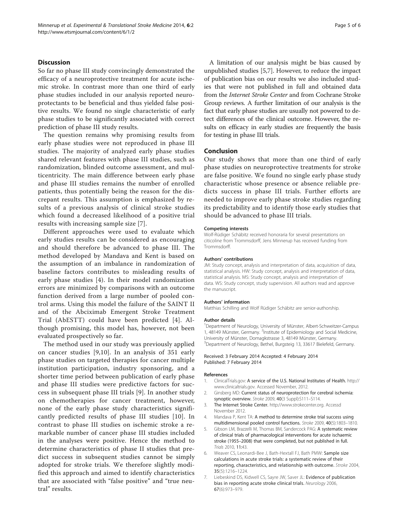# <span id="page-4-0"></span>Discussion

So far no phase III study convincingly demonstrated the efficacy of a neuroprotective treatment for acute ischemic stroke. In contrast more than one third of early phase studies included in our analysis reported neuroprotectants to be beneficial and thus yielded false positive results. We found no single characteristic of early phase studies to be significantly associated with correct prediction of phase III study results.

The question remains why promising results from early phase studies were not reproduced in phase III studies. The majority of analyzed early phase studies shared relevant features with phase III studies, such as randomization, blinded outcome assessment, and multicentricity. The main difference between early phase and phase III studies remains the number of enrolled patients, thus potentially being the reason for the discrepant results. This assumption is emphasized by results of a previous analysis of clinical stroke studies which found a decreased likelihood of a positive trial results with increasing sample size [7].

Different approaches were used to evaluate which early studies results can be considered as encouraging and should therefore be advanced to phase III. The method developed by Mandava and Kent is based on the assumption of an imbalance in randomization of baseline factors contributes to misleading results of early phase studies [4). In their model randomization errors are minimized by comparisons with an outcome function derived from a large number of pooled control arms. Using this model the failure of the SAINT II and of the Abciximab Emergent Stroke Treatment Trial (AbESTT) could have been predicted [4]. Although promising, this model has, however, not been evaluated prospectively so far.

The method used in our study was previously applied on cancer studies [[9,10](#page-5-0)]. In an analysis of 351 early phase studies on targeted therapies for cancer multiple institution participation, industry sponsoring, and a shorter time period between publication of early phase and phase III studies were predictive factors for success in subsequent phase III trials [[9\]](#page-5-0). In another study on chemotherapies for cancer treatment, however, none of the early phase study characteristics significantly predicted results of phase III studies [[10\]](#page-5-0). In contrast to phase III studies on ischemic stroke a remarkable number of cancer phase III studies included in the analyses were positive. Hence the method to determine characteristics of phase II studies that predict success in subsequent studies cannot be simply adopted for stroke trials. We therefore slightly modified this approach and aimed to identify characteristics that are associated with "false positive" and "true neutral" results.

A limitation of our analysis might be bias caused by unpublished studies [5,7]. However, to reduce the impact of publication bias on our results we also included studies that were not published in full and obtained data from the Internet Stroke Center and from Cochrane Stroke Group reviews. A further limitation of our analysis is the fact that early phase studies are usually not powered to detect differences of the clinical outcome. However, the results on efficacy in early studies are frequently the basis for testing in phase III trials.

#### Conclusion

Our study shows that more than one third of early phase studies on neuroprotective treatments for stroke are false positive. We found no single early phase study characteristic whose presence or absence reliable predicts success in phase III trials. Further efforts are needed to improve early phase stroke studies regarding its predictability and to identify those early studies that should be advanced to phase III trials.

#### Competing interests

Wolf-Rüdiger Schäbitz received honoraria for several presentations on citicoline from Trommsdorff, Jens Minnerup has received funding from Trommsdorff.

#### Authors' contributions

JM: Study concept, analysis and interpretation of data, acquisition of data, statistical analysis. HW: Study concept, analysis and interpretation of data, statistical analysis. MS: Study concept, analysis and interpretation of data. WS: Study concept, study supervision. All authors read and approve the manuscript.

#### Authors' information

Matthias Schilling and Wolf Rüdiger Schäbitz are senior-authorship.

#### Author details

<sup>1</sup>Department of Neurology, University of Münster, Albert-Schweitzer-Campus 1, 48149 Münster, Germany. <sup>2</sup>Institute of Epidemiology and Social Medicine University of Münster, Domagkstrasse 3, 48149 Münster, Germany. <sup>3</sup>Department of Neurology, Bethel, Burgsteig 13, 33617 Bielefeld, Germany.

#### Received: 3 February 2014 Accepted: 4 February 2014 Published: 7 February 2014

#### References

- 1. ClinicalTrials.gov: A service of the U.S. National Institutes of Health. [http://](http://www.clinicaltrials.gov) [www.clinicaltrials.gov](http://www.clinicaltrials.gov). Accessed November, 2012.
- 2. Ginsberg MD: Current status of neuroprotection for cerebral ischemia: synoptic overview. Stroke 2009, 40(3 Suppl):S111–S114.
- 3. The Internet Stroke Center. <http://www.strokecenter.org>. Accessd November 2012.
- 4. Mandava P, Kent TA: A method to determine stroke trial success using multidimensional pooled control functions. Stroke 2009, 40(5):1803–1810.
- 5. Gibson LM, Brazzelli M, Thomas BM, Sandercock PAG: A systematic review of clinical trials of pharmacological interventions for acute ischaemic stroke (1955–2008) that were completed, but not published in full. Trials 2010, 11:43.
- 6. Weaver CS, Leonardi-Bee J, Bath-Hextall FJ, Bath PMW: Sample size calculations in acute stroke trials: a systematic review of their reporting, characteristics, and relationship with outcome. Stroke 2004, 35(5):1216–1224.
- 7. Liebeskind DS, Kidwell CS, Sayre JW, Saver JL: Evidence of publication bias in reporting acute stroke clinical trials. Neurology 2006, 67(6):973–979.